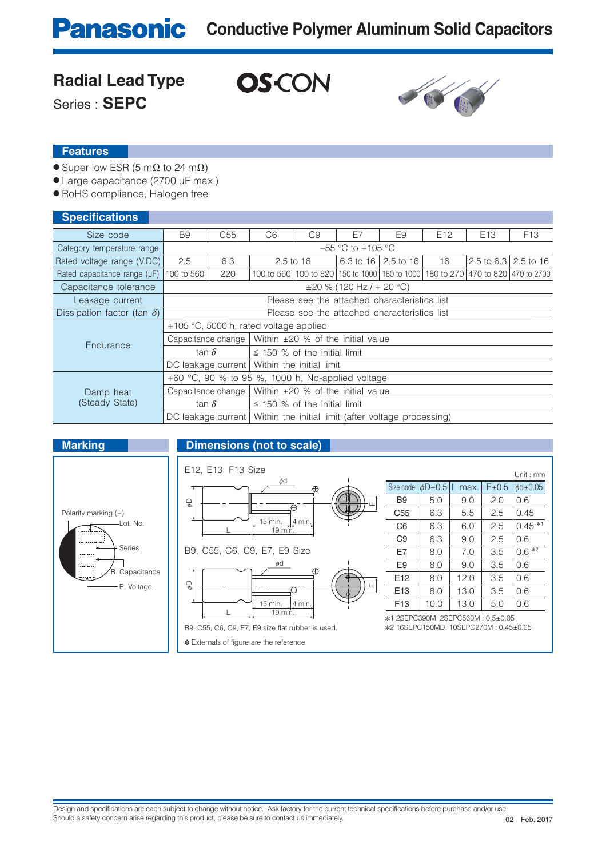# **Panasonic** Conductive Polymer Aluminum Solid Capacitors

### **Radial Lead Type**

**OS-CON** 

Series : **SEPC**



#### **Features**

- $\bullet$  Super low ESR (5 m $\Omega$  to 24 m $\Omega$ )
- Large capacitance (2700 μF max.)
- RoHS compliance, Halogen free

#### **Specifications**

| <b>PPPPINDAMPIND</b>               |                                                                          |                                                   |                                        |                                                                                 |    |                       |                 |                 |                 |  |
|------------------------------------|--------------------------------------------------------------------------|---------------------------------------------------|----------------------------------------|---------------------------------------------------------------------------------|----|-----------------------|-----------------|-----------------|-----------------|--|
| Size code                          | <b>B9</b>                                                                | C <sub>55</sub>                                   | C <sub>6</sub>                         | C <sub>9</sub>                                                                  | E7 | E9                    | E <sub>12</sub> | E <sub>13</sub> | F <sub>13</sub> |  |
| Category temperature range         | $-55$ °C to $+105$ °C                                                    |                                                   |                                        |                                                                                 |    |                       |                 |                 |                 |  |
| Rated voltage range (V.DC)         | 2.5                                                                      | 6.3                                               |                                        | $2.5$ to 16                                                                     |    | 6.3 to 16   2.5 to 16 | 16              | 2.5 to 6.3      | 2.5 to 16       |  |
| Rated capacitance range (µF)       | 100 to 560                                                               | 220                                               |                                        | 100 to 560 100 to 820 150 to 1000 180 to 1000 180 to 270 470 to 820 470 to 2700 |    |                       |                 |                 |                 |  |
| Capacitance tolerance              |                                                                          | $\pm 20$ % (120 Hz / + 20 °C)                     |                                        |                                                                                 |    |                       |                 |                 |                 |  |
| Leakage current                    | Please see the attached characteristics list                             |                                                   |                                        |                                                                                 |    |                       |                 |                 |                 |  |
| Dissipation factor (tan $\delta$ ) | Please see the attached characteristics list                             |                                                   |                                        |                                                                                 |    |                       |                 |                 |                 |  |
| Endurance                          | +105 °C, 5000 h, rated voltage applied                                   |                                                   |                                        |                                                                                 |    |                       |                 |                 |                 |  |
|                                    |                                                                          | Capacitance change                                | Within $\pm 20$ % of the initial value |                                                                                 |    |                       |                 |                 |                 |  |
|                                    | tan $\delta$                                                             |                                                   | $\leq$ 150 % of the initial limit      |                                                                                 |    |                       |                 |                 |                 |  |
|                                    | Within the initial limit<br>DC leakage current                           |                                                   |                                        |                                                                                 |    |                       |                 |                 |                 |  |
|                                    | +60 $\degree$ C, 90 % to 95 %, 1000 h, No-applied voltage                |                                                   |                                        |                                                                                 |    |                       |                 |                 |                 |  |
| Damp heat<br>(Steady State)        | Within $\pm 20$ % of the initial value<br>Capacitance change             |                                                   |                                        |                                                                                 |    |                       |                 |                 |                 |  |
|                                    |                                                                          | tan $\delta$<br>$\leq$ 150 % of the initial limit |                                        |                                                                                 |    |                       |                 |                 |                 |  |
|                                    | DC leakage current   Within the initial limit (after voltage processing) |                                                   |                                        |                                                                                 |    |                       |                 |                 |                 |  |

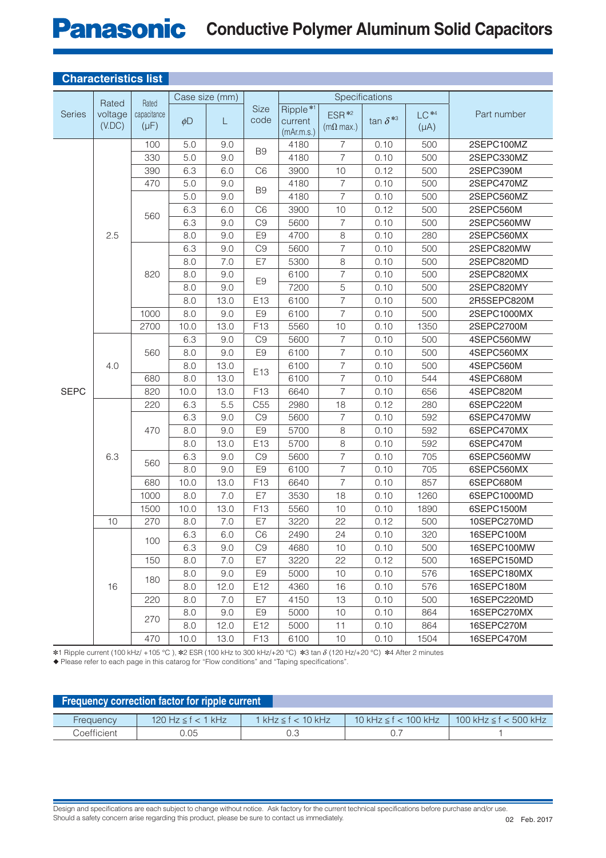## **Panasonic** Conductive Polymer Aluminum Solid Capacitors

| Unaracterístics list |                            |                                   |                |      |                     |                                               |                                               |                   |                      |             |
|----------------------|----------------------------|-----------------------------------|----------------|------|---------------------|-----------------------------------------------|-----------------------------------------------|-------------------|----------------------|-------------|
|                      | Rated<br>voltage<br>(V.DC) | Rated<br>capacitance<br>$(\mu F)$ | Case size (mm) |      |                     | Specifications                                |                                               |                   |                      |             |
| Series               |                            |                                   | $\phi$ D       | L    | <b>Size</b><br>code | Ripple <sup>*1</sup><br>current<br>(mAr.m.s.) | ESR <sup>*2</sup><br>$(m\Omega \text{ max.})$ | tan $\delta^{*3}$ | $LC**4$<br>$(\mu A)$ | Part number |
|                      |                            | 100                               | 5.0            | 9.0  | B <sub>9</sub>      | 4180                                          | $\overline{7}$                                | 0.10              | 500                  | 2SEPC100MZ  |
|                      |                            | 330                               | 5.0            | 9.0  |                     | 4180                                          | $\overline{7}$                                | 0.10              | 500                  | 2SEPC330MZ  |
|                      |                            | 390                               | 6.3            | 6.0  | C <sub>6</sub>      | 3900                                          | 10                                            | 0.12              | 500                  | 2SEPC390M   |
|                      |                            | 470                               | 5.0            | 9.0  | B <sub>9</sub>      | 4180                                          | $\overline{7}$                                | 0.10              | 500                  | 2SEPC470MZ  |
|                      |                            | 560                               | 5.0            | 9.0  |                     | 4180                                          | $\overline{7}$                                | 0.10              | 500                  | 2SEPC560MZ  |
|                      |                            |                                   | 6.3            | 6.0  | C <sub>6</sub>      | 3900                                          | 10                                            | 0.12              | 500                  | 2SEPC560M   |
|                      |                            |                                   | 6.3            | 9.0  | C <sub>9</sub>      | 5600                                          | $\overline{7}$                                | 0.10              | 500                  | 2SEPC560MW  |
|                      | 2.5                        |                                   | 8.0            | 9.0  | E <sub>9</sub>      | 4700                                          | $\,8\,$                                       | 0.10              | 280                  | 2SEPC560MX  |
|                      |                            |                                   | 6.3            | 9.0  | C <sub>9</sub>      | 5600                                          | $\overline{7}$                                | 0.10              | 500                  | 2SEPC820MW  |
| <b>SEPC</b>          |                            |                                   | 8.0            | 7.0  | E7                  | 5300                                          | 8                                             | 0.10              | 500                  | 2SEPC820MD  |
|                      |                            | 820                               | 8.0            | 9.0  | E <sub>9</sub>      | 6100                                          | $\overline{7}$                                | 0.10              | 500                  | 2SEPC820MX  |
|                      |                            |                                   | 8.0            | 9.0  |                     | 7200                                          | 5                                             | 0.10              | 500                  | 2SEPC820MY  |
|                      |                            |                                   | 8.0            | 13.0 | E13                 | 6100                                          | $\overline{7}$                                | 0.10              | 500                  | 2R5SEPC820M |
|                      |                            | 1000                              | 8.0            | 9.0  | E <sub>9</sub>      | 6100                                          | $\overline{7}$                                | 0.10              | 500                  | 2SEPC1000MX |
|                      |                            | 2700                              | 10.0           | 13.0 | F13                 | 5560                                          | 10                                            | 0.10              | 1350                 | 2SEPC2700M  |
|                      | 4.0                        | 560<br>680                        | 6.3            | 9.0  | C <sub>9</sub>      | 5600                                          | $\overline{7}$                                | 0.10              | 500                  | 4SEPC560MW  |
|                      |                            |                                   | 8.0            | 9.0  | E <sub>9</sub>      | 6100                                          | $\overline{7}$                                | 0.10              | 500                  | 4SEPC560MX  |
|                      |                            |                                   | 8.0            | 13.0 | E <sub>13</sub>     | 6100                                          | $\overline{7}$                                | 0.10              | 500                  | 4SEPC560M   |
|                      |                            |                                   | 8.0            | 13.0 |                     | 6100                                          | $\overline{7}$                                | 0.10              | 544                  | 4SEPC680M   |
|                      |                            | 820                               | 10.0           | 13.0 | F13                 | 6640                                          | $\overline{7}$                                | 0.10              | 656                  | 4SEPC820M   |
|                      | 6.3                        | 220                               | 6.3            | 5.5  | C <sub>55</sub>     | 2980                                          | 18                                            | 0.12              | 280                  | 6SEPC220M   |
|                      |                            | 470                               | 6.3            | 9.0  | C <sub>9</sub>      | 5600                                          | $\overline{7}$                                | 0.10              | 592                  | 6SEPC470MW  |
|                      |                            |                                   | 8.0            | 9.0  | E <sub>9</sub>      | 5700                                          | 8                                             | 0.10              | 592                  | 6SEPC470MX  |
|                      |                            |                                   | 8.0            | 13.0 | E13                 | 5700                                          | 8                                             | 0.10              | 592                  | 6SEPC470M   |
|                      |                            | 560                               | 6.3            | 9.0  | C <sub>9</sub>      | 5600                                          | $\overline{7}$                                | 0.10              | 705                  | 6SEPC560MW  |
|                      |                            |                                   | 8.0            | 9.0  | E <sub>9</sub>      | 6100                                          | $\overline{7}$                                | 0.10              | 705                  | 6SEPC560MX  |
|                      |                            | 680                               | 10.0           | 13.0 | F13                 | 6640                                          | $\overline{7}$                                | 0.10              | 857                  | 6SEPC680M   |
|                      |                            | 1000                              | 8.0            | 7.0  | E7                  | 3530                                          | 18                                            | 0.10              | 1260                 | 6SEPC1000MD |
|                      |                            | 1500                              | 10.0           | 13.0 | F13                 | 5560                                          | 10                                            | 0.10              | 1890                 | 6SEPC1500M  |
|                      | 10                         | 270                               | 8.0            | 7.0  | E7                  | 3220                                          | 22                                            | 0.12              | 500                  | 10SEPC270MD |
|                      | 16                         | 100                               | 6.3            | 6.0  | C6                  | 2490                                          | 24                                            | 0.10              | 320                  | 16SEPC100M  |
|                      |                            |                                   | 6.3            | 9.0  | C <sub>9</sub>      | 4680                                          | 10                                            | 0.10              | 500                  | 16SEPC100MW |
|                      |                            | 150                               | 8.0            | 7.0  | E7                  | 3220                                          | 22                                            | 0.12              | 500                  | 16SEPC150MD |
|                      |                            | 180                               | 8.0            | 9.0  | E <sub>9</sub>      | 5000                                          | 10                                            | 0.10              | 576                  | 16SEPC180MX |
|                      |                            |                                   | 8.0            | 12.0 | E12                 | 4360                                          | 16                                            | 0.10              | 576                  | 16SEPC180M  |
|                      |                            | 220                               | 8.0            | 7.0  | E7                  | 4150                                          | 13                                            | 0.10              | 500                  | 16SEPC220MD |
|                      |                            | 270                               | 8.0            | 9.0  | E <sub>9</sub>      | 5000                                          | 10                                            | 0.10              | 864                  | 16SEPC270MX |
|                      |                            |                                   | 8.0            | 12.0 | E12                 | 5000                                          | 11                                            | 0.10              | 864                  | 16SEPC270M  |
|                      |                            | 470                               | 10.0           | 13.0 | F13                 | 6100                                          | 10                                            | 0.10              | 1504                 | 16SEPC470M  |

#### **Characteristics list**

✽1 Ripple current (100 kHz/ +105 °C ), ✽2 ESR (100 kHz to 300 kHz/+20 °C) ✽3 tan d (120 Hz/+20 °C) ✽4 After 2 minutes

◆ Please refer to each page in this catarog for "Flow conditions" and "Taping specifications".

| <b>Frequency correction factor for ripple current</b> |                    |                           |                             |                                            |  |  |  |  |  |  |
|-------------------------------------------------------|--------------------|---------------------------|-----------------------------|--------------------------------------------|--|--|--|--|--|--|
| Frequency                                             | 120 Hz ≤ f < 1 kHz | 1 kHz $\leq$ f $<$ 10 kHz | 10 kHz $\leq$ f $<$ 100 kHz | $100 \text{ kHz} \leq f < 500 \text{ kHz}$ |  |  |  |  |  |  |
| Coefficient                                           | ).05               |                           |                             |                                            |  |  |  |  |  |  |

Design and specifications are each subject to change without notice. Ask factory for the current technical specifications before purchase and/or use. Should a safety concern arise regarding this product, please be sure to contact us immediately.